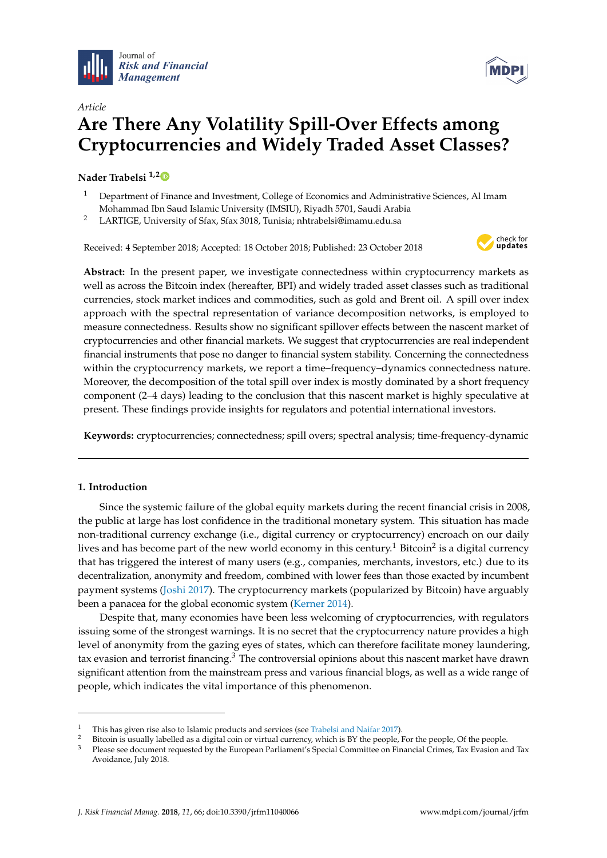



# *Article* **Are There Any Volatility Spill-Over Effects among Cryptocurrencies and Widely Traded Asset Classes?**

# **Nader Trabelsi 1,[2](https://orcid.org/0000-0003-2998-240X)**

- <sup>1</sup> Department of Finance and Investment, College of Economics and Administrative Sciences, Al Imam Mohammad Ibn Saud Islamic University (IMSIU), Riyadh 5701, Saudi Arabia
- <sup>2</sup> LARTIGE, University of Sfax, Sfax 3018, Tunisia; nhtrabelsi@imamu.edu.sa

Received: 4 September 2018; Accepted: 18 October 2018; Published: 23 October 2018



**Abstract:** In the present paper, we investigate connectedness within cryptocurrency markets as well as across the Bitcoin index (hereafter, BPI) and widely traded asset classes such as traditional currencies, stock market indices and commodities, such as gold and Brent oil. A spill over index approach with the spectral representation of variance decomposition networks, is employed to measure connectedness. Results show no significant spillover effects between the nascent market of cryptocurrencies and other financial markets. We suggest that cryptocurrencies are real independent financial instruments that pose no danger to financial system stability. Concerning the connectedness within the cryptocurrency markets, we report a time–frequency–dynamics connectedness nature. Moreover, the decomposition of the total spill over index is mostly dominated by a short frequency component (2–4 days) leading to the conclusion that this nascent market is highly speculative at present. These findings provide insights for regulators and potential international investors.

**Keywords:** cryptocurrencies; connectedness; spill overs; spectral analysis; time-frequency-dynamic

# **1. Introduction**

Since the systemic failure of the global equity markets during the recent financial crisis in 2008, the public at large has lost confidence in the traditional monetary system. This situation has made non-traditional currency exchange (i.e., digital currency or cryptocurrency) encroach on our daily lives and has become part of the new world economy in this century. $^1$  Bitcoin $^2$  is a digital currency that has triggered the interest of many users (e.g., companies, merchants, investors, etc.) due to its decentralization, anonymity and freedom, combined with lower fees than those exacted by incumbent payment systems [\(Joshi](#page-15-0) [2017\)](#page-15-0). The cryptocurrency markets (popularized by Bitcoin) have arguably been a panacea for the global economic system [\(Kerner](#page-15-1) [2014\)](#page-15-1).

Despite that, many economies have been less welcoming of cryptocurrencies, with regulators issuing some of the strongest warnings. It is no secret that the cryptocurrency nature provides a high level of anonymity from the gazing eyes of states, which can therefore facilitate money laundering, tax evasion and terrorist financing.<sup>3</sup> The controversial opinions about this nascent market have drawn significant attention from the mainstream press and various financial blogs, as well as a wide range of people, which indicates the vital importance of this phenomenon.

<sup>&</sup>lt;sup>1</sup> This has given rise also to Islamic products and services (see [Trabelsi and Naifar](#page-16-0) [2017\)](#page-16-0).

<sup>2</sup> Bitcoin is usually labelled as a digital coin or virtual currency, which is BY the people, For the people, Of the people.

<sup>3</sup> Please see document requested by the European Parliament's Special Committee on Financial Crimes, Tax Evasion and Tax Avoidance, July 2018.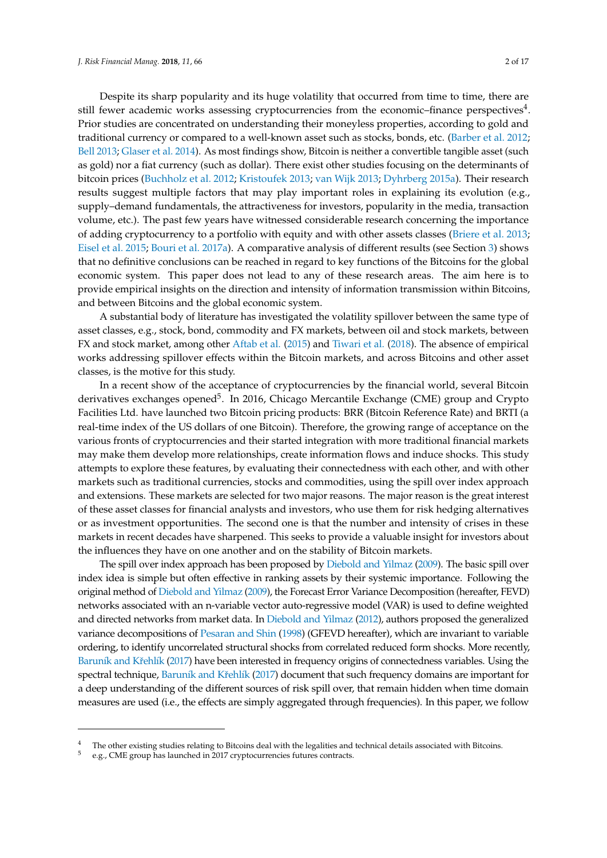Despite its sharp popularity and its huge volatility that occurred from time to time, there are still fewer academic works assessing cryptocurrencies from the economic-finance perspectives<sup>4</sup>. Prior studies are concentrated on understanding their moneyless properties, according to gold and traditional currency or compared to a well-known asset such as stocks, bonds, etc. [\(Barber et al.](#page-14-0) [2012;](#page-14-0) [Bell](#page-14-1) [2013;](#page-14-1) [Glaser et al.](#page-15-2) [2014\)](#page-15-2). As most findings show, Bitcoin is neither a convertible tangible asset (such as gold) nor a fiat currency (such as dollar). There exist other studies focusing on the determinants of bitcoin prices [\(Buchholz et al.](#page-15-3) [2012;](#page-15-3) [Kristoufek](#page-15-4) [2013;](#page-15-4) [van Wijk](#page-16-1) [2013;](#page-16-1) [Dyhrberg](#page-15-5) [2015a\)](#page-15-5). Their research results suggest multiple factors that may play important roles in explaining its evolution (e.g., supply–demand fundamentals, the attractiveness for investors, popularity in the media, transaction volume, etc.). The past few years have witnessed considerable research concerning the importance of adding cryptocurrency to a portfolio with equity and with other assets classes [\(Briere et al.](#page-15-6) [2013;](#page-15-6) [Eisel et al.](#page-15-7) [2015;](#page-15-7) [Bouri et al.](#page-15-8) [2017a\)](#page-15-8). A comparative analysis of different results (see Section [3\)](#page-3-0) shows that no definitive conclusions can be reached in regard to key functions of the Bitcoins for the global economic system. This paper does not lead to any of these research areas. The aim here is to provide empirical insights on the direction and intensity of information transmission within Bitcoins, and between Bitcoins and the global economic system.

A substantial body of literature has investigated the volatility spillover between the same type of asset classes, e.g., stock, bond, commodity and FX markets, between oil and stock markets, between FX and stock market, among other [Aftab et al.](#page-14-2) [\(2015\)](#page-14-2) and [Tiwari et al.](#page-14-3) [\(2018\)](#page-14-3). The absence of empirical works addressing spillover effects within the Bitcoin markets, and across Bitcoins and other asset classes, is the motive for this study.

In a recent show of the acceptance of cryptocurrencies by the financial world, several Bitcoin derivatives exchanges opened<sup>5</sup>. In 2016, Chicago Mercantile Exchange (CME) group and Crypto Facilities Ltd. have launched two Bitcoin pricing products: BRR (Bitcoin Reference Rate) and BRTI (a real-time index of the US dollars of one Bitcoin). Therefore, the growing range of acceptance on the various fronts of cryptocurrencies and their started integration with more traditional financial markets may make them develop more relationships, create information flows and induce shocks. This study attempts to explore these features, by evaluating their connectedness with each other, and with other markets such as traditional currencies, stocks and commodities, using the spill over index approach and extensions. These markets are selected for two major reasons. The major reason is the great interest of these asset classes for financial analysts and investors, who use them for risk hedging alternatives or as investment opportunities. The second one is that the number and intensity of crises in these markets in recent decades have sharpened. This seeks to provide a valuable insight for investors about the influences they have on one another and on the stability of Bitcoin markets.

The spill over index approach has been proposed by [Diebold and Yilmaz](#page-15-9) [\(2009\)](#page-15-9). The basic spill over index idea is simple but often effective in ranking assets by their systemic importance. Following the original method of [Diebold and Yilmaz](#page-15-9) [\(2009\)](#page-15-9), the Forecast Error Variance Decomposition (hereafter, FEVD) networks associated with an n-variable vector auto-regressive model (VAR) is used to define weighted and directed networks from market data. In [Diebold and Yilmaz](#page-15-10) [\(2012\)](#page-15-10), authors proposed the generalized variance decompositions of [Pesaran and Shin](#page-16-2) [\(1998\)](#page-16-2) (GFEVD hereafter), which are invariant to variable ordering, to identify uncorrelated structural shocks from correlated reduced form shocks. More recently, Baruník and Křehlík [\(2017\)](#page-14-4) have been interested in frequency origins of connectedness variables. Using the spectral technique, Baruník and Křehlík [\(2017\)](#page-14-4) document that such frequency domains are important for a deep understanding of the different sources of risk spill over, that remain hidden when time domain measures are used (i.e., the effects are simply aggregated through frequencies). In this paper, we follow

<sup>4</sup> The other existing studies relating to Bitcoins deal with the legalities and technical details associated with Bitcoins.

<sup>5</sup> e.g., CME group has launched in 2017 cryptocurrencies futures contracts.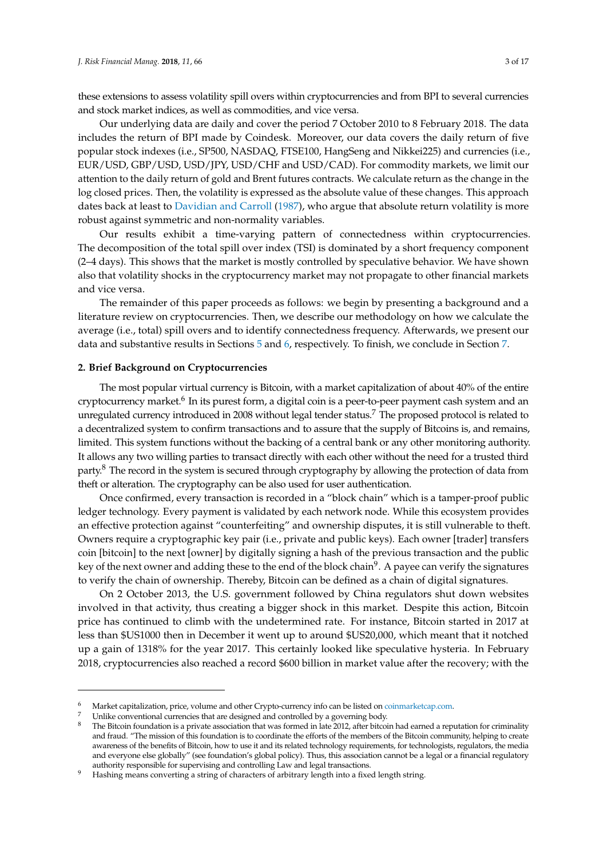these extensions to assess volatility spill overs within cryptocurrencies and from BPI to several currencies and stock market indices, as well as commodities, and vice versa.

Our underlying data are daily and cover the period 7 October 2010 to 8 February 2018. The data includes the return of BPI made by Coindesk. Moreover, our data covers the daily return of five popular stock indexes (i.e., SP500, NASDAQ, FTSE100, HangSeng and Nikkei225) and currencies (i.e., EUR/USD, GBP/USD, USD/JPY, USD/CHF and USD/CAD). For commodity markets, we limit our attention to the daily return of gold and Brent futures contracts. We calculate return as the change in the log closed prices. Then, the volatility is expressed as the absolute value of these changes. This approach dates back at least to [Davidian and Carroll](#page-15-11) [\(1987\)](#page-15-11), who argue that absolute return volatility is more robust against symmetric and non-normality variables.

Our results exhibit a time-varying pattern of connectedness within cryptocurrencies. The decomposition of the total spill over index (TSI) is dominated by a short frequency component (2–4 days). This shows that the market is mostly controlled by speculative behavior. We have shown also that volatility shocks in the cryptocurrency market may not propagate to other financial markets and vice versa.

The remainder of this paper proceeds as follows: we begin by presenting a background and a literature review on cryptocurrencies. Then, we describe our methodology on how we calculate the average (i.e., total) spill overs and to identify connectedness frequency. Afterwards, we present our data and substantive results in Sections [5](#page-6-0) and [6,](#page-9-0) respectively. To finish, we conclude in Section [7.](#page-14-5)

#### **2. Brief Background on Cryptocurrencies**

The most popular virtual currency is Bitcoin, with a market capitalization of about 40% of the entire cryptocurrency market.<sup>6</sup> In its purest form, a digital coin is a peer-to-peer payment cash system and an unregulated currency introduced in 2008 without legal tender status.<sup>7</sup> The proposed protocol is related to a decentralized system to confirm transactions and to assure that the supply of Bitcoins is, and remains, limited. This system functions without the backing of a central bank or any other monitoring authority. It allows any two willing parties to transact directly with each other without the need for a trusted third party.<sup>8</sup> The record in the system is secured through cryptography by allowing the protection of data from theft or alteration. The cryptography can be also used for user authentication.

Once confirmed, every transaction is recorded in a "block chain" which is a tamper-proof public ledger technology. Every payment is validated by each network node. While this ecosystem provides an effective protection against "counterfeiting" and ownership disputes, it is still vulnerable to theft. Owners require a cryptographic key pair (i.e., private and public keys). Each owner [trader] transfers coin [bitcoin] to the next [owner] by digitally signing a hash of the previous transaction and the public key of the next owner and adding these to the end of the block chain $^9$ . A payee can verify the signatures to verify the chain of ownership. Thereby, Bitcoin can be defined as a chain of digital signatures.

On 2 October 2013, the U.S. government followed by China regulators shut down websites involved in that activity, thus creating a bigger shock in this market. Despite this action, Bitcoin price has continued to climb with the undetermined rate. For instance, Bitcoin started in 2017 at less than \$US1000 then in December it went up to around \$US20,000, which meant that it notched up a gain of 1318% for the year 2017. This certainly looked like speculative hysteria. In February 2018, cryptocurrencies also reached a record \$600 billion in market value after the recovery; with the

<sup>6</sup> Market capitalization, price, volume and other Crypto-currency info can be listed on [coinmarketcap.com.](coinmarketcap.com)

<sup>7</sup> Unlike conventional currencies that are designed and controlled by a governing body.

The Bitcoin foundation is a private association that was formed in late 2012, after bitcoin had earned a reputation for criminality and fraud. "The mission of this foundation is to coordinate the efforts of the members of the Bitcoin community, helping to create awareness of the benefits of Bitcoin, how to use it and its related technology requirements, for technologists, regulators, the media and everyone else globally" (see foundation's global policy). Thus, this association cannot be a legal or a financial regulatory authority responsible for supervising and controlling Law and legal transactions.

Hashing means converting a string of characters of arbitrary length into a fixed length string.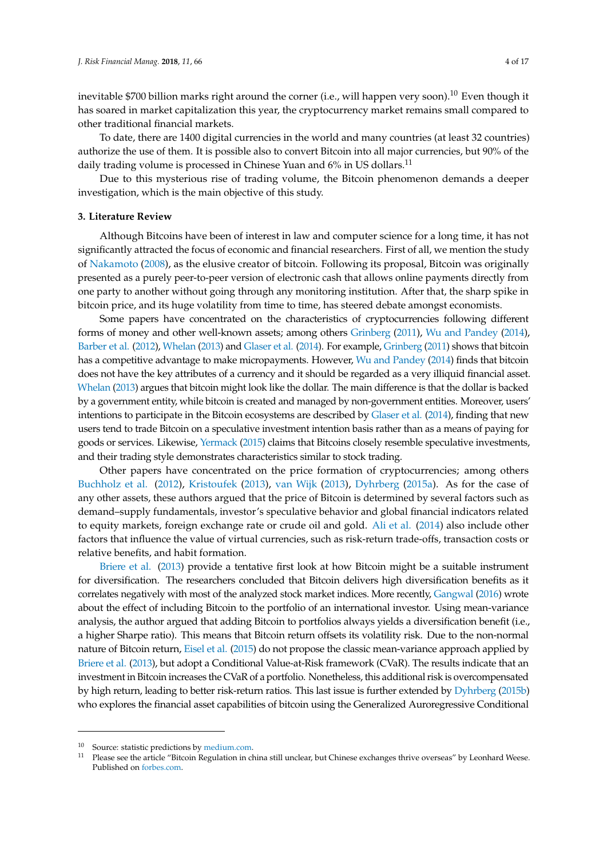inevitable \$700 billion marks right around the corner (i.e., will happen very soon).<sup>10</sup> Even though it has soared in market capitalization this year, the cryptocurrency market remains small compared to other traditional financial markets.

To date, there are 1400 digital currencies in the world and many countries (at least 32 countries) authorize the use of them. It is possible also to convert Bitcoin into all major currencies, but 90% of the daily trading volume is processed in Chinese Yuan and 6% in US dollars.<sup>11</sup>

Due to this mysterious rise of trading volume, the Bitcoin phenomenon demands a deeper investigation, which is the main objective of this study.

# <span id="page-3-0"></span>**3. Literature Review**

Although Bitcoins have been of interest in law and computer science for a long time, it has not significantly attracted the focus of economic and financial researchers. First of all, we mention the study of [Nakamoto](#page-15-12) [\(2008\)](#page-15-12), as the elusive creator of bitcoin. Following its proposal, Bitcoin was originally presented as a purely peer-to-peer version of electronic cash that allows online payments directly from one party to another without going through any monitoring institution. After that, the sharp spike in bitcoin price, and its huge volatility from time to time, has steered debate amongst economists.

Some papers have concentrated on the characteristics of cryptocurrencies following different forms of money and other well-known assets; among others [Grinberg](#page-15-13) [\(2011\)](#page-15-13), [Wu and Pandey](#page-16-3) [\(2014\)](#page-16-3), [Barber et al.](#page-14-0) [\(2012\)](#page-14-0), [Whelan](#page-16-4) [\(2013\)](#page-16-4) and [Glaser et al.](#page-15-2) [\(2014\)](#page-15-2). For example, [Grinberg](#page-15-13) [\(2011\)](#page-15-13) shows that bitcoin has a competitive advantage to make micropayments. However, [Wu and Pandey](#page-16-3) [\(2014\)](#page-16-3) finds that bitcoin does not have the key attributes of a currency and it should be regarded as a very illiquid financial asset. [Whelan](#page-16-4) [\(2013\)](#page-16-4) argues that bitcoin might look like the dollar. The main difference is that the dollar is backed by a government entity, while bitcoin is created and managed by non-government entities. Moreover, users' intentions to participate in the Bitcoin ecosystems are described by [Glaser et al.](#page-15-2) [\(2014\)](#page-15-2), finding that new users tend to trade Bitcoin on a speculative investment intention basis rather than as a means of paying for goods or services. Likewise, [Yermack](#page-16-5) [\(2015\)](#page-16-5) claims that Bitcoins closely resemble speculative investments, and their trading style demonstrates characteristics similar to stock trading.

Other papers have concentrated on the price formation of cryptocurrencies; among others [Buchholz et al.](#page-15-3) [\(2012\)](#page-15-3), [Kristoufek](#page-15-4) [\(2013\)](#page-15-4), [van Wijk](#page-16-1) [\(2013\)](#page-16-1), [Dyhrberg](#page-15-5) [\(2015a\)](#page-15-5). As for the case of any other assets, these authors argued that the price of Bitcoin is determined by several factors such as demand–supply fundamentals, investor's speculative behavior and global financial indicators related to equity markets, foreign exchange rate or crude oil and gold. [Ali et al.](#page-14-6) [\(2014\)](#page-14-6) also include other factors that influence the value of virtual currencies, such as risk-return trade-offs, transaction costs or relative benefits, and habit formation.

[Briere et al.](#page-15-6) [\(2013\)](#page-15-6) provide a tentative first look at how Bitcoin might be a suitable instrument for diversification. The researchers concluded that Bitcoin delivers high diversification benefits as it correlates negatively with most of the analyzed stock market indices. More recently, [Gangwal](#page-16-6) [\(2016\)](#page-16-6) wrote about the effect of including Bitcoin to the portfolio of an international investor. Using mean-variance analysis, the author argued that adding Bitcoin to portfolios always yields a diversification benefit (i.e., a higher Sharpe ratio). This means that Bitcoin return offsets its volatility risk. Due to the non-normal nature of Bitcoin return, [Eisel et al.](#page-15-7) [\(2015\)](#page-15-7) do not propose the classic mean-variance approach applied by [Briere et al.](#page-15-6) [\(2013\)](#page-15-6), but adopt a Conditional Value-at-Risk framework (CVaR). The results indicate that an investment in Bitcoin increases the CVaR of a portfolio. Nonetheless, this additional risk is overcompensated by high return, leading to better risk-return ratios. This last issue is further extended by [Dyhrberg](#page-15-14) [\(2015b\)](#page-15-14) who explores the financial asset capabilities of bitcoin using the Generalized Auroregressive Conditional

<sup>&</sup>lt;sup>10</sup> Source: statistic predictions by [medium.com.](medium.com)

<sup>11</sup> Please see the article "Bitcoin Regulation in china still unclear, but Chinese exchanges thrive overseas" by Leonhard Weese. Published on [forbes.com.](forbes.com)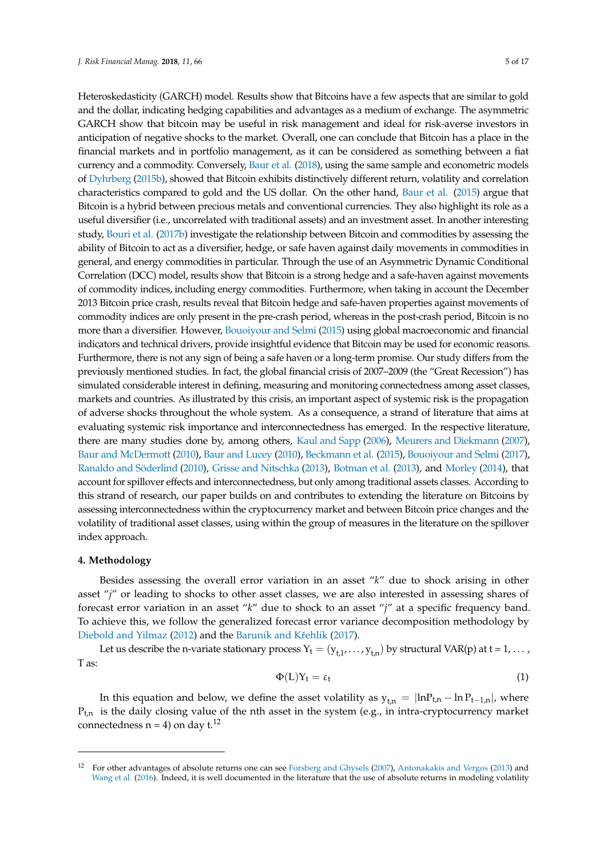Heteroskedasticity (GARCH) model. Results show that Bitcoins have a few aspects that are similar to gold and the dollar, indicating hedging capabilities and advantages as a medium of exchange. The asymmetric GARCH show that bitcoin may be useful in risk management and ideal for risk-averse investors in anticipation of negative shocks to the market. Overall, one can conclude that Bitcoin has a place in the financial markets and in portfolio management, as it can be considered as something between a fiat currency and a commodity. Conversely, [Baur et al.](#page-14-7) [\(2018\)](#page-14-7), using the same sample and econometric models of [Dyhrberg](#page-15-14) [\(2015b\)](#page-15-14), showed that Bitcoin exhibits distinctively different return, volatility and correlation characteristics compared to gold and the US dollar. On the other hand, [Baur et al.](#page-14-8) [\(2015\)](#page-14-8) argue that Bitcoin is a hybrid between precious metals and conventional currencies. They also highlight its role as a useful diversifier (i.e., uncorrelated with traditional assets) and an investment asset. In another interesting study, [Bouri et al.](#page-15-15) [\(2017b\)](#page-15-15) investigate the relationship between Bitcoin and commodities by assessing the ability of Bitcoin to act as a diversifier, hedge, or safe haven against daily movements in commodities in general, and energy commodities in particular. Through the use of an Asymmetric Dynamic Conditional Correlation (DCC) model, results show that Bitcoin is a strong hedge and a safe-haven against movements of commodity indices, including energy commodities. Furthermore, when taking in account the December 2013 Bitcoin price crash, results reveal that Bitcoin hedge and safe-haven properties against movements of commodity indices are only present in the pre-crash period, whereas in the post-crash period, Bitcoin is no more than a diversifier. However, [Bouoiyour and Selmi](#page-15-16) [\(2015\)](#page-15-16) using global macroeconomic and financial indicators and technical drivers, provide insightful evidence that Bitcoin may be used for economic reasons. Furthermore, there is not any sign of being a safe haven or a long-term promise. Our study differs from the previously mentioned studies. In fact, the global financial crisis of 2007–2009 (the "Great Recession") has simulated considerable interest in defining, measuring and monitoring connectedness among asset classes, markets and countries. As illustrated by this crisis, an important aspect of systemic risk is the propagation of adverse shocks throughout the whole system. As a consequence, a strand of literature that aims at evaluating systemic risk importance and interconnectedness has emerged. In the respective literature, there are many studies done by, among others, [Kaul and Sapp](#page-15-17) [\(2006\)](#page-15-17), [Meurers and Diekmann](#page-15-18) [\(2007\)](#page-15-18), [Baur and McDermott](#page-14-9) [\(2010\)](#page-14-9), [Baur and Lucey](#page-14-10) [\(2010\)](#page-14-10), [Beckmann et al.](#page-14-11) [\(2015\)](#page-14-11), [Bouoiyour and Selmi](#page-15-19) [\(2017\)](#page-15-19), [Ranaldo and Söderlind](#page-16-7) [\(2010\)](#page-16-7), [Grisse and Nitschka](#page-15-20) [\(2013\)](#page-15-20), [Botman et al.](#page-14-12) [\(2013\)](#page-14-12), and [Morley](#page-15-21) [\(2014\)](#page-15-21), that account for spillover effects and interconnectedness, but only among traditional assets classes. According to this strand of research, our paper builds on and contributes to extending the literature on Bitcoins by assessing interconnectedness within the cryptocurrency market and between Bitcoin price changes and the volatility of traditional asset classes, using within the group of measures in the literature on the spillover index approach.

#### **4. Methodology**

Besides assessing the overall error variation in an asset "*k*" due to shock arising in other asset "*j*" or leading to shocks to other asset classes, we are also interested in assessing shares of forecast error variation in an asset "*k*" due to shock to an asset "*j*" at a specific frequency band. To achieve this, we follow the generalized forecast error variance decomposition methodology by [Diebold and Yilmaz](#page-15-10) [\(2012\)](#page-15-10) and the Baruník and Křehlík [\(2017\)](#page-14-4).

Let us describe the n-variate stationary process  $Y_t = (y_{t,1},...,y_{t,n})$  by structural VAR(p) at  $t = 1,...,$ T as:

$$
\Phi(L)Y_t = \varepsilon_t \tag{1}
$$

In this equation and below, we define the asset volatility as  $y_{t,n} = |lnP_{t,n} - lnP_{t-1,n}|$ , where  $P_{\text{tn}}$  is the daily closing value of the nth asset in the system (e.g., in intra-cryptocurrency market connectedness  $n = 4$ ) on day t.<sup>12</sup>

<sup>12</sup> For other advantages of absolute returns one can see [Forsberg and Ghysels](#page-15-22) [\(2007\)](#page-15-22), [Antonakakis and Vergos](#page-14-13) [\(2013\)](#page-14-13) and [Wang et al.](#page-16-8) [\(2016\)](#page-16-8). Indeed, it is well documented in the literature that the use of absolute returns in modeling volatility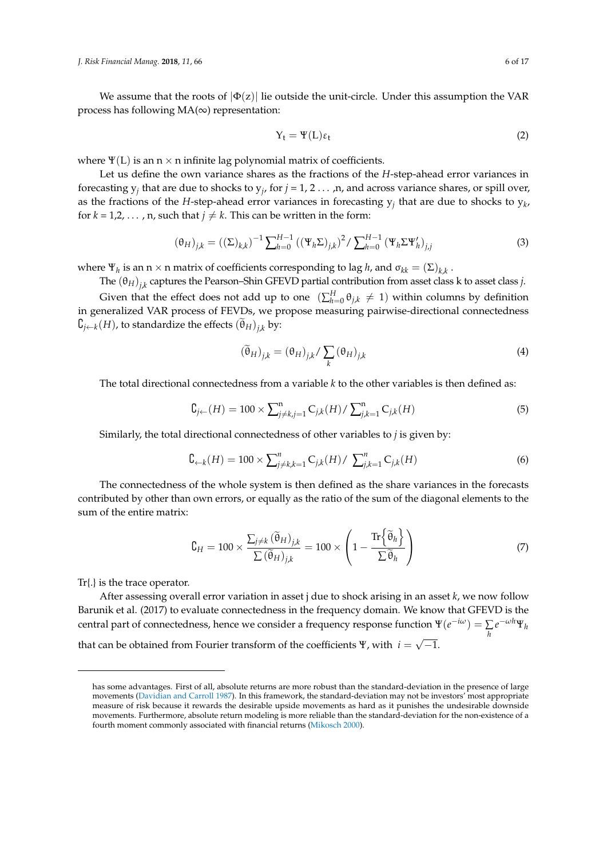We assume that the roots of  $|\Phi(z)|$  lie outside the unit-circle. Under this assumption the VAR process has following  $MA(\infty)$  representation:

$$
Y_t = \Psi(L)\varepsilon_t \tag{2}
$$

where  $\Psi(L)$  is an n  $\times$  n infinite lag polynomial matrix of coefficients.

Let us define the own variance shares as the fractions of the *H*-step-ahead error variances in forecasting  $y_j$  that are due to shocks to  $y_j$ , for  $j = 1, 2, \ldots, n$ , and across variance shares, or spill over, as the fractions of the *H*-step-ahead error variances in forecasting y*<sup>j</sup>* that are due to shocks to y*<sup>k</sup>* , for  $k = 1, 2, \ldots, n$ , such that  $j \neq k$ . This can be written in the form:

$$
(\theta_H)_{j,k} = ((\Sigma)_{k,k})^{-1} \sum_{h=0}^{H-1} ((\Psi_h \Sigma)_{j,k})^2 / \sum_{h=0}^{H-1} (\Psi_h \Sigma \Psi'_h)_{j,j}
$$
(3)

where  $\Psi_h$  is an  $n \times n$  matrix of coefficients corresponding to lag *h*, and  $\sigma_{kk} = (\Sigma)_{k,k}$ .

The  $(\theta_H)_{j,k}$  captures the Pearson–Shin GFEVD partial contribution from asset class k to asset class *j*.

Given that the effect does not add up to one  $\left(\sum_{h=0}^{H} \theta_{j,k} \neq 1\right)$  within columns by definition in generalized VAR process of FEVDs, we propose measuring pairwise-directional connectedness  ${\mathsf G}_{j\leftarrow k}(H)$ , to standardize the effects  $(\widetilde{\Theta}_H)_{j,k}$  by:

$$
\left(\widetilde{\theta}_{H}\right)_{j,k} = \left(\theta_{H}\right)_{j,k} / \sum_{k} \left(\theta_{H}\right)_{j,k} \tag{4}
$$

The total directional connectedness from a variable *k* to the other variables is then defined as:

$$
\mathcal{C}_{j \leftarrow}(H) = 100 \times \sum_{j \neq k, j=1}^{n} C_{j,k}(H) / \sum_{j,k=1}^{n} C_{j,k}(H)
$$
\n(5)

Similarly, the total directional connectedness of other variables to *j* is given by:

$$
\mathbb{C}_{\leftarrow k}(H) = 100 \times \sum_{j \neq k, k=1}^{n} C_{j,k}(H) / \sum_{j,k=1}^{n} C_{j,k}(H)
$$
 (6)

The connectedness of the whole system is then defined as the share variances in the forecasts contributed by other than own errors, or equally as the ratio of the sum of the diagonal elements to the sum of the entire matrix:

$$
\mathcal{C}_H = 100 \times \frac{\sum_{j \neq k} (\widetilde{\Theta}_H)_{j,k}}{\sum (\widetilde{\Theta}_H)_{j,k}} = 100 \times \left(1 - \frac{\text{Tr}\left\{\widetilde{\Theta}_h\right\}}{\sum \widetilde{\Theta}_h}\right) \tag{7}
$$

Tr{.} is the trace operator.

After assessing overall error variation in asset j due to shock arising in an asset *k*, we now follow Barunik et al. (2017) to evaluate connectedness in the frequency domain. We know that GFEVD is the central part of connectedness, hence we consider a frequency response function  $\Psi(e^{-i\omega}) = \sum e^{-\omega h} \Psi_h$ *h* √

that can be obtained from Fourier transform of the coefficients  $\Psi$ , with  $i =$  $\overline{-1}$ .

has some advantages. First of all, absolute returns are more robust than the standard-deviation in the presence of large movements [\(Davidian and Carroll](#page-15-11) [1987\)](#page-15-11). In this framework, the standard-deviation may not be investors' most appropriate measure of risk because it rewards the desirable upside movements as hard as it punishes the undesirable downside movements. Furthermore, absolute return modeling is more reliable than the standard-deviation for the non-existence of a fourth moment commonly associated with financial returns [\(Mikosch](#page-16-9) [2000\)](#page-16-9).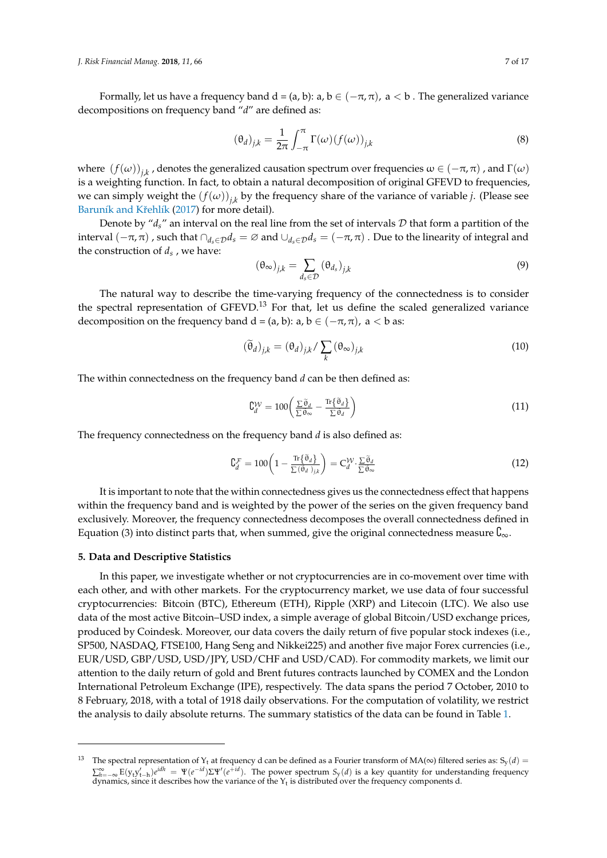## *J. Risk Financial Manag.* **2018**, *11*, 66 7 of 17

Formally, let us have a frequency band d = (a, b): a, b  $\in (-\pi, \pi)$ , a < b . The generalized variance decompositions on frequency band "*d*" are defined as:

$$
(\theta_d)_{j,k} = \frac{1}{2\pi} \int_{-\pi}^{\pi} \Gamma(\omega) (f(\omega))_{j,k}
$$
 (8)

where  $(f(\omega))_{j,k}$  , denotes the generalized causation spectrum over frequencies  $\omega \in (-\pi,\pi)$  , and  $\Gamma(\omega)$ is a weighting function. In fact, to obtain a natural decomposition of original GFEVD to frequencies, we can simply weight the  $(f(\omega))_{j,k}$  by the frequency share of the variance of variable *j*. (Please see Baruník and Křehlík [\(2017\)](#page-14-4) for more detail).

Denote by " $d_s$ " an interval on the real line from the set of intervals D that form a partition of the interval  $(-\pi, \pi)$ , such that  $\cap_{d_s \in \mathcal{D}} d_s = \emptyset$  and  $\cup_{d_s \in \mathcal{D}} d_s = (-\pi, \pi)$ . Due to the linearity of integral and the construction of  $d_s$ , we have:

$$
\left(\theta_{\infty}\right)_{j,k} = \sum_{d_s \in \mathcal{D}} \left(\theta_{d_s}\right)_{j,k} \tag{9}
$$

The natural way to describe the time-varying frequency of the connectedness is to consider the spectral representation of GFEVD.<sup>13</sup> For that, let us define the scaled generalized variance decomposition on the frequency band d = (a, b): a, b  $\in (-\pi, \pi)$ , a < b as:

$$
(\widetilde{\theta}_d)_{j,k} = (\theta_d)_{j,k} / \sum_k (\theta_\infty)_{j,k}
$$
\n(10)

The within connectedness on the frequency band *d* can be then defined as:

$$
\mathcal{C}_d^{\mathcal{W}} = 100 \left( \frac{\sum \widetilde{\theta}_d}{\sum \widetilde{\theta}_\infty} - \frac{\text{Tr}\{\widetilde{\theta}_d\}}{\sum \widetilde{\theta}_d} \right) \tag{11}
$$

The frequency connectedness on the frequency band *d* is also defined as:

$$
\mathcal{C}_d^{\mathcal{F}} = 100 \left( 1 - \frac{\text{Tr}\{\tilde{\Theta}_d\}}{\Sigma(\tilde{\Theta}_d)_{j,k}} \right) = C_d^{\mathcal{W}} \cdot \frac{\Sigma \tilde{\Theta}_d}{\Sigma \tilde{\Theta}_{\infty}}
$$
(12)

It is important to note that the within connectedness gives us the connectedness effect that happens within the frequency band and is weighted by the power of the series on the given frequency band exclusively. Moreover, the frequency connectedness decomposes the overall connectedness defined in Equation (3) into distinct parts that, when summed, give the original connectedness measure  $\mathcal{L}_{\infty}$ .

#### <span id="page-6-0"></span>**5. Data and Descriptive Statistics**

In this paper, we investigate whether or not cryptocurrencies are in co-movement over time with each other, and with other markets. For the cryptocurrency market, we use data of four successful cryptocurrencies: Bitcoin (BTC), Ethereum (ETH), Ripple (XRP) and Litecoin (LTC). We also use data of the most active Bitcoin–USD index, a simple average of global Bitcoin/USD exchange prices, produced by Coindesk. Moreover, our data covers the daily return of five popular stock indexes (i.e., SP500, NASDAQ, FTSE100, Hang Seng and Nikkei225) and another five major Forex currencies (i.e., EUR/USD, GBP/USD, USD/JPY, USD/CHF and USD/CAD). For commodity markets, we limit our attention to the daily return of gold and Brent futures contracts launched by COMEX and the London International Petroleum Exchange (IPE), respectively. The data spans the period 7 October, 2010 to 8 February, 2018, with a total of 1918 daily observations. For the computation of volatility, we restrict the analysis to daily absolute returns. The summary statistics of the data can be found in Table [1.](#page-7-0)

<sup>&</sup>lt;sup>13</sup> The spectral representation of Y<sub>t</sub> at frequency d can be defined as a Fourier transform of MA( $\infty$ ) filtered series as: S<sub>v</sub>(*d*) =  $\sum_{h=-\infty}^{\infty} E(y_t y'_{t-h}) e^{idh} = \Psi(e^{-id}) \Sigma \Psi'(e^{+id})$ . The power spectrum  $S_y(d)$  is a key quantity for understanding frequency dynamics, since it describes how the variance of the  $Y_t$  is distributed over the frequency components d.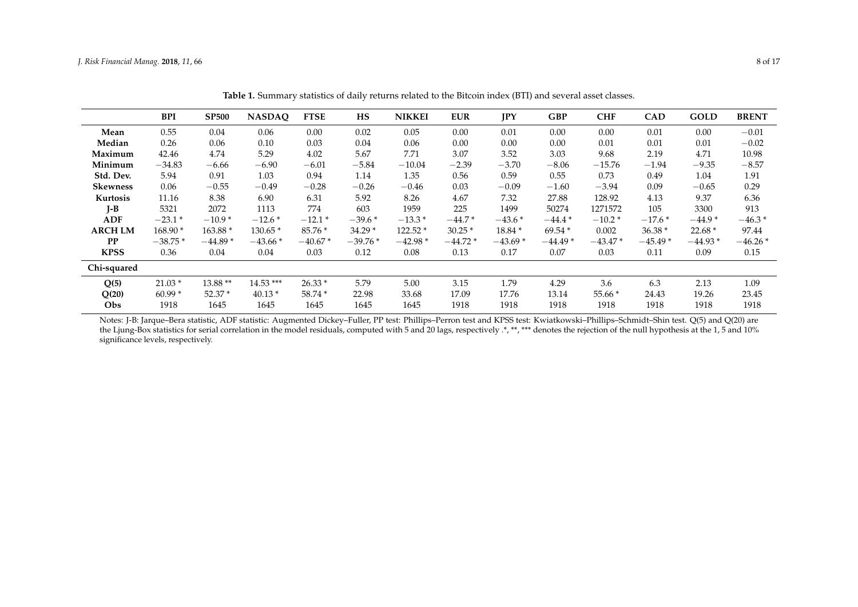|                 | <b>BPI</b> | <b>SP500</b> | <b>NASDAQ</b> | <b>FTSE</b> | HS        | <b>NIKKEI</b> | <b>EUR</b> | JPY       | <b>GBP</b> | <b>CHF</b> | <b>CAD</b> | GOLD      | <b>BRENT</b> |
|-----------------|------------|--------------|---------------|-------------|-----------|---------------|------------|-----------|------------|------------|------------|-----------|--------------|
| Mean            | 0.55       | 0.04         | 0.06          | 0.00        | 0.02      | 0.05          | 0.00       | 0.01      | 0.00       | 0.00       | 0.01       | 0.00      | $-0.01$      |
| Median          | 0.26       | 0.06         | 0.10          | 0.03        | 0.04      | 0.06          | 0.00       | 0.00      | 0.00       | 0.01       | 0.01       | 0.01      | $-0.02$      |
| Maximum         | 42.46      | 4.74         | 5.29          | 4.02        | 5.67      | 7.71          | 3.07       | 3.52      | 3.03       | 9.68       | 2.19       | 4.71      | 10.98        |
| Minimum         | $-34.83$   | $-6.66$      | $-6.90$       | $-6.01$     | $-5.84$   | $-10.04$      | $-2.39$    | $-3.70$   | $-8.06$    | $-15.76$   | $-1.94$    | $-9.35$   | $-8.57$      |
| Std. Dev.       | 5.94       | 0.91         | 1.03          | 0.94        | 1.14      | 1.35          | 0.56       | 0.59      | 0.55       | 0.73       | 0.49       | 1.04      | 1.91         |
| <b>Skewness</b> | 0.06       | $-0.55$      | $-0.49$       | $-0.28$     | $-0.26$   | $-0.46$       | 0.03       | $-0.09$   | $-1.60$    | $-3.94$    | 0.09       | $-0.65$   | 0.29         |
| Kurtosis        | 11.16      | 8.38         | 6.90          | 6.31        | 5.92      | 8.26          | 4.67       | 7.32      | 27.88      | 128.92     | 4.13       | 9.37      | 6.36         |
| $I-B$           | 5321       | 2072         | 1113          | 774         | 603       | 1959          | 225        | 1499      | 50274      | 1271572    | 105        | 3300      | 913          |
| <b>ADF</b>      | $-23.1*$   | $-10.9*$     | $-12.6*$      | $-12.1*$    | $-39.6*$  | $-13.3*$      | $-44.7*$   | $-43.6*$  | $-44.4*$   | $-10.2*$   | $-17.6*$   | $-44.9*$  | $-46.3*$     |
| <b>ARCH LM</b>  | 168.90*    | $163.88*$    | $130.65*$     | $85.76*$    | $34.29*$  | 122.52 *      | $30.25*$   | 18.84 *   | $69.54*$   | 0.002      | $36.38*$   | $22.68*$  | 97.44        |
| PP              | $-38.75*$  | $-44.89*$    | $-43.66*$     | $-40.67*$   | $-39.76*$ | $-42.98*$     | $-44.72*$  | $-43.69*$ | $-44.49*$  | $-43.47*$  | $-45.49*$  | $-44.93*$ | $-46.26*$    |
| <b>KPSS</b>     | 0.36       | 0.04         | 0.04          | 0.03        | 0.12      | 0.08          | 0.13       | 0.17      | 0.07       | 0.03       | 0.11       | 0.09      | 0.15         |
| Chi-squared     |            |              |               |             |           |               |            |           |            |            |            |           |              |
| Q(5)            | $21.03*$   | $13.88**$    | $14.53***$    | $26.33*$    | 5.79      | 5.00          | 3.15       | 1.79      | 4.29       | 3.6        | 6.3        | 2.13      | 1.09         |
| Q(20)           | $60.99*$   | $52.37*$     | $40.13*$      | 58.74 *     | 22.98     | 33.68         | 17.09      | 17.76     | 13.14      | 55.66 *    | 24.43      | 19.26     | 23.45        |
| Obs             | 1918       | 1645         | 1645          | 1645        | 1645      | 1645          | 1918       | 1918      | 1918       | 1918       | 1918       | 1918      | 1918         |

**Table 1.** Summary statistics of daily returns related to the Bitcoin index (BTI) and several asset classes.

<span id="page-7-0"></span>Notes: J-B: Jarque–Bera statistic, ADF statistic: Augmented Dickey–Fuller, PP test: Phillips–Perron test and KPSS test: Kwiatkowski–Phillips–Schmidt–Shin test. Q(5) and Q(20) are the Ljung-Box statistics for serial correlation in the model residuals, computed with 5 and 20 lags, respectively .\*, \*\*, \*\*\* denotes the rejection of the null hypothesis at the 1, 5 and 10% significance levels, respectively.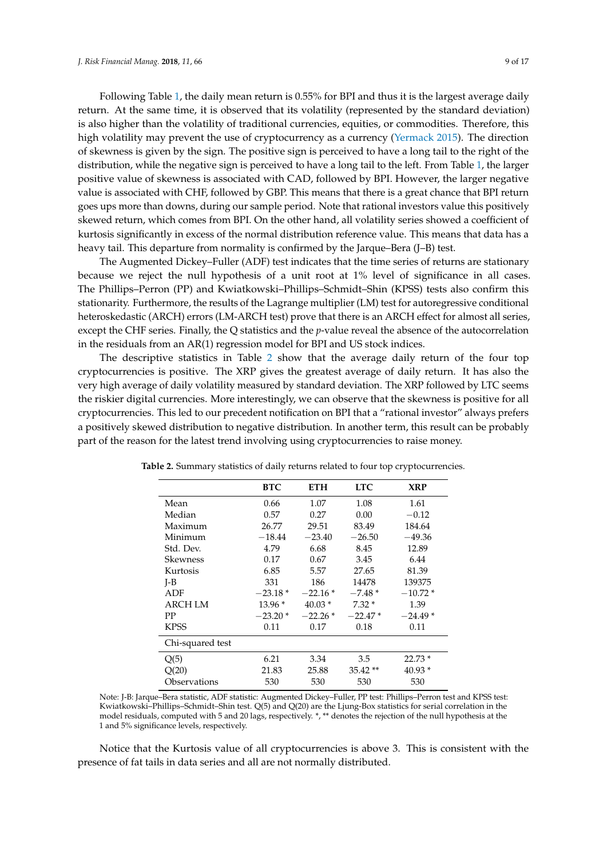Following Table [1,](#page-7-0) the daily mean return is 0.55% for BPI and thus it is the largest average daily return. At the same time, it is observed that its volatility (represented by the standard deviation) is also higher than the volatility of traditional currencies, equities, or commodities. Therefore, this high volatility may prevent the use of cryptocurrency as a currency [\(Yermack](#page-16-5) [2015\)](#page-16-5). The direction of skewness is given by the sign. The positive sign is perceived to have a long tail to the right of the distribution, while the negative sign is perceived to have a long tail to the left. From Table [1,](#page-7-0) the larger positive value of skewness is associated with CAD, followed by BPI. However, the larger negative value is associated with CHF, followed by GBP. This means that there is a great chance that BPI return goes ups more than downs, during our sample period. Note that rational investors value this positively skewed return, which comes from BPI. On the other hand, all volatility series showed a coefficient of kurtosis significantly in excess of the normal distribution reference value. This means that data has a heavy tail. This departure from normality is confirmed by the Jarque–Bera (J–B) test.

The Augmented Dickey–Fuller (ADF) test indicates that the time series of returns are stationary because we reject the null hypothesis of a unit root at 1% level of significance in all cases. The Phillips–Perron (PP) and Kwiatkowski–Phillips–Schmidt–Shin (KPSS) tests also confirm this stationarity. Furthermore, the results of the Lagrange multiplier (LM) test for autoregressive conditional heteroskedastic (ARCH) errors (LM-ARCH test) prove that there is an ARCH effect for almost all series, except the CHF series. Finally, the Q statistics and the *p*-value reveal the absence of the autocorrelation in the residuals from an AR(1) regression model for BPI and US stock indices.

The descriptive statistics in Table [2](#page-8-0) show that the average daily return of the four top cryptocurrencies is positive. The XRP gives the greatest average of daily return. It has also the very high average of daily volatility measured by standard deviation. The XRP followed by LTC seems the riskier digital currencies. More interestingly, we can observe that the skewness is positive for all cryptocurrencies. This led to our precedent notification on BPI that a "rational investor" always prefers a positively skewed distribution to negative distribution. In another term, this result can be probably part of the reason for the latest trend involving using cryptocurrencies to raise money.

|                  | <b>BTC</b> | ETH       | <b>LTC</b> | <b>XRP</b> |
|------------------|------------|-----------|------------|------------|
| Mean             | 0.66       | 1.07      | 1.08       | 1.61       |
| Median           | 0.57       | 0.27      | 0.00       | $-0.12$    |
| Maximum          | 26.77      | 29.51     | 83.49      | 184.64     |
| Minimum          | $-18.44$   | $-23.40$  | $-26.50$   | $-49.36$   |
| Std. Dev.        | 4.79       | 6.68      | 8.45       | 12.89      |
| <b>Skewness</b>  | 0.17       | 0.67      | 3.45       | 6.44       |
| Kurtosis         | 6.85       | 5.57      | 27.65      | 81.39      |
| $I-B$            | 331        | 186       | 14478      | 139375     |
| ADF              | $-23.18*$  | $-22.16*$ | $-7.48*$   | $-10.72*$  |
| ARCH LM          | $13.96*$   | $40.03*$  | $7.32*$    | 1.39       |
| PP               | $-23.20*$  | $-22.26*$ | $-22.47*$  | $-24.49*$  |
| <b>KPSS</b>      | 0.11       | 0.17      | 0.18       | 0.11       |
| Chi-squared test |            |           |            |            |
| Q(5)             | 6.21       | 3.34      | 3.5        | $22.73*$   |
| Q(20)            | 21.83      | 25.88     | $35.42**$  | $40.93*$   |
| Observations     | 530        | 530       | 530        | 530        |

<span id="page-8-0"></span>**Table 2.** Summary statistics of daily returns related to four top cryptocurrencies.

Note: J-B: Jarque–Bera statistic, ADF statistic: Augmented Dickey–Fuller, PP test: Phillips–Perron test and KPSS test: Kwiatkowski–Phillips–Schmidt–Shin test. Q(5) and Q(20) are the Ljung-Box statistics for serial correlation in the model residuals, computed with 5 and 20 lags, respectively. \*, \*\* denotes the rejection of the null hypothesis at the 1 and 5% significance levels, respectively.

Notice that the Kurtosis value of all cryptocurrencies is above 3. This is consistent with the presence of fat tails in data series and all are not normally distributed.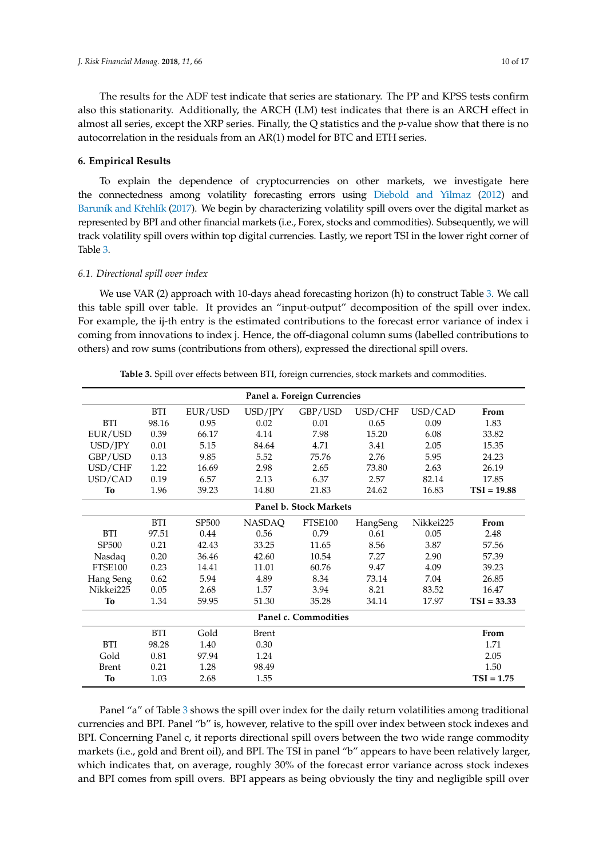The results for the ADF test indicate that series are stationary. The PP and KPSS tests confirm also this stationarity. Additionally, the ARCH (LM) test indicates that there is an ARCH effect in almost all series, except the XRP series. Finally, the Q statistics and the *p*-value show that there is no autocorrelation in the residuals from an AR(1) model for BTC and ETH series.

# <span id="page-9-0"></span>**6. Empirical Results**

To explain the dependence of cryptocurrencies on other markets, we investigate here the connectedness among volatility forecasting errors using [Diebold and Yilmaz](#page-15-10) [\(2012\)](#page-15-10) and Baruník and Křehlík [\(2017\)](#page-14-4). We begin by characterizing volatility spill overs over the digital market as represented by BPI and other financial markets (i.e., Forex, stocks and commodities). Subsequently, we will track volatility spill overs within top digital currencies. Lastly, we report TSI in the lower right corner of Table [3.](#page-9-1)

## *6.1. Directional spill over index*

We use VAR (2) approach with 10-days ahead forecasting horizon (h) to construct Table [3.](#page-9-1) We call this table spill over table. It provides an "input-output" decomposition of the spill over index. For example, the ij-th entry is the estimated contributions to the forecast error variance of index i coming from innovations to index j. Hence, the off-diagonal column sums (labelled contributions to others) and row sums (contributions from others), expressed the directional spill overs.

<span id="page-9-1"></span>

| Panel a. Foreign Currencies |            |              |               |                               |          |           |               |
|-----------------------------|------------|--------------|---------------|-------------------------------|----------|-----------|---------------|
|                             | <b>BTI</b> | EUR/USD      | USD/JPY       | GBP/USD                       | USD/CHF  | USD/CAD   | From          |
| <b>BTI</b>                  | 98.16      | 0.95         | 0.02          | 0.01                          | 0.65     | 0.09      | 1.83          |
| EUR/USD                     | 0.39       | 66.17        | 4.14          | 7.98                          | 15.20    | 6.08      | 33.82         |
| USD/JPY                     | 0.01       | 5.15         | 84.64         | 4.71                          | 3.41     | 2.05      | 15.35         |
| GBP/USD                     | 0.13       | 9.85         | 5.52          | 75.76                         | 2.76     | 5.95      | 24.23         |
| USD/CHF                     | 1.22       | 16.69        | 2.98          | 2.65                          | 73.80    | 2.63      | 26.19         |
| USD/CAD                     | 0.19       | 6.57         | 2.13          | 6.37                          | 2.57     | 82.14     | 17.85         |
| To                          | 1.96       | 39.23        | 14.80         | 21.83                         | 24.62    | 16.83     | $TSI = 19.88$ |
|                             |            |              |               | <b>Panel b. Stock Markets</b> |          |           |               |
|                             | <b>BTI</b> | <b>SP500</b> | <b>NASDAQ</b> | FTSE100                       | HangSeng | Nikkei225 | From          |
| <b>BTI</b>                  | 97.51      | 0.44         | 0.56          | 0.79                          | 0.61     | 0.05      | 2.48          |
| <b>SP500</b>                | 0.21       | 42.43        | 33.25         | 11.65                         | 8.56     | 3.87      | 57.56         |
| Nasdaq                      | 0.20       | 36.46        | 42.60         | 10.54                         | 7.27     | 2.90      | 57.39         |
| <b>FTSE100</b>              | 0.23       | 14.41        | 11.01         | 60.76                         | 9.47     | 4.09      | 39.23         |
| Hang Seng                   | 0.62       | 5.94         | 4.89          | 8.34                          | 73.14    | 7.04      | 26.85         |
| Nikkei225                   | 0.05       | 2.68         | 1.57          | 3.94                          | 8.21     | 83.52     | 16.47         |
| <b>To</b>                   | 1.34       | 59.95        | 51.30         | 35.28                         | 34.14    | 17.97     | $TSI = 33.33$ |
|                             |            |              |               | Panel c. Commodities          |          |           |               |
|                             | <b>BTI</b> | Gold         | <b>Brent</b>  |                               |          |           | From          |
| <b>BTI</b>                  | 98.28      | 1.40         | 0.30          |                               |          |           | 1.71          |
| Gold                        | 0.81       | 97.94        | 1.24          |                               |          |           | 2.05          |
| <b>Brent</b>                | 0.21       | 1.28         | 98.49         |                               |          |           | 1.50          |
| To                          | 1.03       | 2.68         | 1.55          |                               |          |           | $TSI = 1.75$  |

**Table 3.** Spill over effects between BTI, foreign currencies, stock markets and commodities.

Panel "a" of Table [3](#page-9-1) shows the spill over index for the daily return volatilities among traditional currencies and BPI. Panel "b" is, however, relative to the spill over index between stock indexes and BPI. Concerning Panel c, it reports directional spill overs between the two wide range commodity markets (i.e., gold and Brent oil), and BPI. The TSI in panel "b" appears to have been relatively larger, which indicates that, on average, roughly 30% of the forecast error variance across stock indexes and BPI comes from spill overs. BPI appears as being obviously the tiny and negligible spill over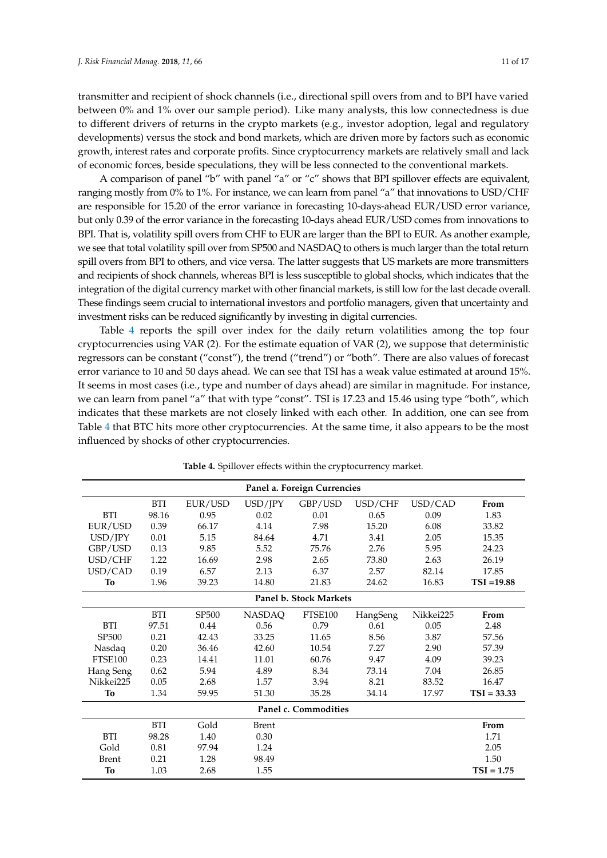transmitter and recipient of shock channels (i.e., directional spill overs from and to BPI have varied between 0% and 1% over our sample period). Like many analysts, this low connectedness is due to different drivers of returns in the crypto markets (e.g., investor adoption, legal and regulatory developments) versus the stock and bond markets, which are driven more by factors such as economic growth, interest rates and corporate profits. Since cryptocurrency markets are relatively small and lack of economic forces, beside speculations, they will be less connected to the conventional markets.

A comparison of panel "b" with panel "a" or "c" shows that BPI spillover effects are equivalent, ranging mostly from 0% to 1%. For instance, we can learn from panel "a" that innovations to USD/CHF are responsible for 15.20 of the error variance in forecasting 10-days-ahead EUR/USD error variance, but only 0.39 of the error variance in the forecasting 10-days ahead EUR/USD comes from innovations to BPI. That is, volatility spill overs from CHF to EUR are larger than the BPI to EUR. As another example, we see that total volatility spill over from SP500 and NASDAQ to others is much larger than the total return spill overs from BPI to others, and vice versa. The latter suggests that US markets are more transmitters and recipients of shock channels, whereas BPI is less susceptible to global shocks, which indicates that the integration of the digital currency market with other financial markets, is still low for the last decade overall. These findings seem crucial to international investors and portfolio managers, given that uncertainty and investment risks can be reduced significantly by investing in digital currencies.

Table [4](#page-10-0) reports the spill over index for the daily return volatilities among the top four cryptocurrencies using VAR (2). For the estimate equation of VAR (2), we suppose that deterministic regressors can be constant ("const"), the trend ("trend") or "both". There are also values of forecast error variance to 10 and 50 days ahead. We can see that TSI has a weak value estimated at around 15%. It seems in most cases (i.e., type and number of days ahead) are similar in magnitude. For instance, we can learn from panel "a" that with type "const". TSI is 17.23 and 15.46 using type "both", which indicates that these markets are not closely linked with each other. In addition, one can see from Table [4](#page-10-0) that BTC hits more other cryptocurrencies. At the same time, it also appears to be the most influenced by shocks of other cryptocurrencies.

<span id="page-10-0"></span>

| Panel a. Foreign Currencies |            |              |               |                               |          |           |               |
|-----------------------------|------------|--------------|---------------|-------------------------------|----------|-----------|---------------|
|                             | <b>BTI</b> | EUR/USD      | USD/JPY       | GBP/USD                       | USD/CHF  | USD/CAD   | From          |
| <b>BTI</b>                  | 98.16      | 0.95         | 0.02          | 0.01                          | 0.65     | 0.09      | 1.83          |
| EUR/USD                     | 0.39       | 66.17        | 4.14          | 7.98                          | 15.20    | 6.08      | 33.82         |
| USD/JPY                     | 0.01       | 5.15         | 84.64         | 4.71                          | 3.41     | 2.05      | 15.35         |
| GBP/USD                     | 0.13       | 9.85         | 5.52          | 75.76                         | 2.76     | 5.95      | 24.23         |
| USD/CHF                     | 1.22       | 16.69        | 2.98          | 2.65                          | 73.80    | 2.63      | 26.19         |
| USD/CAD                     | 0.19       | 6.57         | 2.13          | 6.37                          | 2.57     | 82.14     | 17.85         |
| To                          | 1.96       | 39.23        | 14.80         | 21.83                         | 24.62    | 16.83     | $TSI = 19.88$ |
|                             |            |              |               | <b>Panel b. Stock Markets</b> |          |           |               |
|                             | <b>BTI</b> | <b>SP500</b> | <b>NASDAQ</b> | FTSE100                       | HangSeng | Nikkei225 | From          |
| <b>BTI</b>                  | 97.51      | 0.44         | 0.56          | 0.79                          | 0.61     | 0.05      | 2.48          |
| <b>SP500</b>                | 0.21       | 42.43        | 33.25         | 11.65                         | 8.56     | 3.87      | 57.56         |
| Nasdaq                      | 0.20       | 36.46        | 42.60         | 10.54                         | 7.27     | 2.90      | 57.39         |
| FTSE100                     | 0.23       | 14.41        | 11.01         | 60.76                         | 9.47     | 4.09      | 39.23         |
| Hang Seng                   | 0.62       | 5.94         | 4.89          | 8.34                          | 73.14    | 7.04      | 26.85         |
| Nikkei225                   | 0.05       | 2.68         | 1.57          | 3.94                          | 8.21     | 83.52     | 16.47         |
| To                          | 1.34       | 59.95        | 51.30         | 35.28                         | 34.14    | 17.97     | $TSI = 33.33$ |
|                             |            |              |               | Panel c. Commodities          |          |           |               |
|                             | <b>BTI</b> | Gold         | <b>Brent</b>  |                               |          |           | From          |
| <b>BTI</b>                  | 98.28      | 1.40         | 0.30          |                               |          |           | 1.71          |
| Gold                        | 0.81       | 97.94        | 1.24          |                               |          |           | 2.05          |
| <b>Brent</b>                | 0.21       | 1.28         | 98.49         |                               |          |           | 1.50          |
| To                          | 1.03       | 2.68         | 1.55          |                               |          |           | $TSI = 1.75$  |

**Table 4.** Spillover effects within the cryptocurrency market.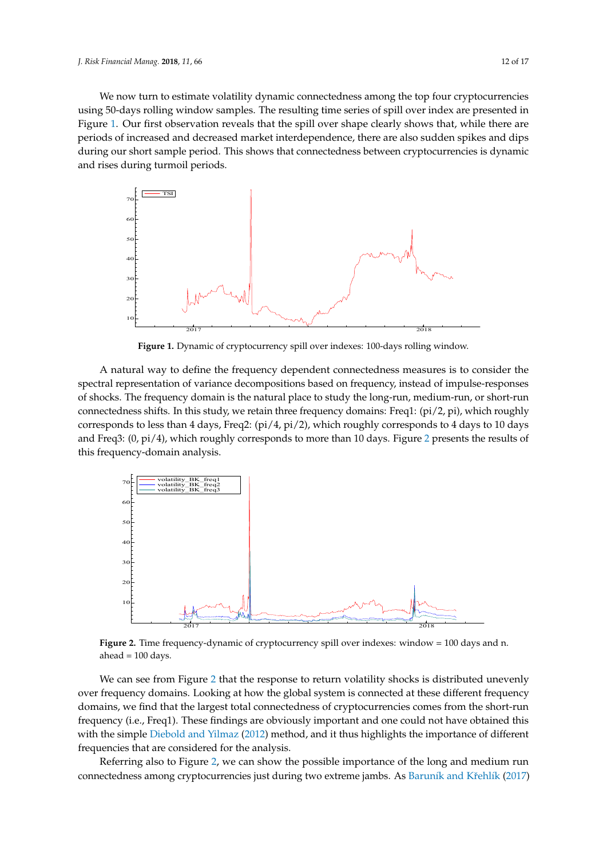We now turn to estimate volatility dynamic connectedness among the top four cryptocurrencies  $\frac{1}{2}$  using 50-days rolling window samples. The resulting time series of spill over index are presented in Figure [1.](#page-11-0) Our first observation reveals that the spill over shape clearly shows that, while there are periods of increased and decreased market interdependence, there are also sudden spikes and dips during our short sample period. This shows that connectedness between cryptocurrencies is dynamic and rises during turmoil periods.

<span id="page-11-0"></span>

**Figure 1.** Dynamic of cryptocurrency spill over indexes: 100-days rolling window. **Figure 1.** Dynamic of cryptocurrency spill over indexes: 100-days rolling window.

spectral representation of variance decompositions based on frequency, instead of impulse-responses of shocks. The frequency domain is the natural place to study the long-run, medium-run, or short-run connectedness shifts. In this study, we retain three frequency domains: Freq1: (pi/2, pi), which roughly connectedness status. In ans staty, we retain three nequency domains. Freq. (p1/2, p1), which loughly<br>corresponds to less than 4 days, Freq2: (pi/4, pi/2), which roughly corresponds to 4 days to 10 days  $\frac{1}{4}$  and  $\frac{1}{4}$  days to less than 4 days, Freq2: (pi/4, pi/2), which roughly corresponds to 1 days to 10 days and Freq.  $(0, \pi/4)$ , which roughly corresponds to more than 10 days. Figure [2](#page-11-1) presents the results of this frequency-domain analysis. A natural way to define the frequency dependent connectedness measures is to consider the A natural way to define the frequency dependent connectedness measures is to consider the presents the results of the results of the results of the results of the results of the results of the results of the results of the results of the results of the results of the results of the results of the results of the

<span id="page-11-1"></span>

**Figure 2.** Time frequency-dynamic of cryptocurrency spill over indexes: window = 100 days and n. angy dynamic of cryptoqurrency spill over indoxes; window **Figure 2.** Time frequency-dynamic of cryptocurrency spill over indexes: window = 100 days and n. **Figure 2.** Time frequency-dynamic of cryptocurrency spill over indexes: window = 100 days and n. ahead = 100 days. ahead = 100 days.

We can see from Figure [2](#page-11-1) that the response to return volatility shocks is distributed unevenly domains, we find that the largest total connectedness of cryptocurrencies comes from the short-run frequency (i.e., Freq1). These findings are obviously important and one could not have obtained this over frequency domains. Looking at how the global system is connected at these different frequency with the simple [Diebold and Yilmaz](#page-15-10) [\(2012\)](#page-15-10) method, and it thus highlights the importance of different frequencies that are considered for the analysis.

Referring also to Figure [2,](#page-11-1) we can show the possible importance of the long and medium run connectedness among cryptocurrencies just during two extreme jambs. As Baruník and Křehlík [\(2017\)](#page-14-4)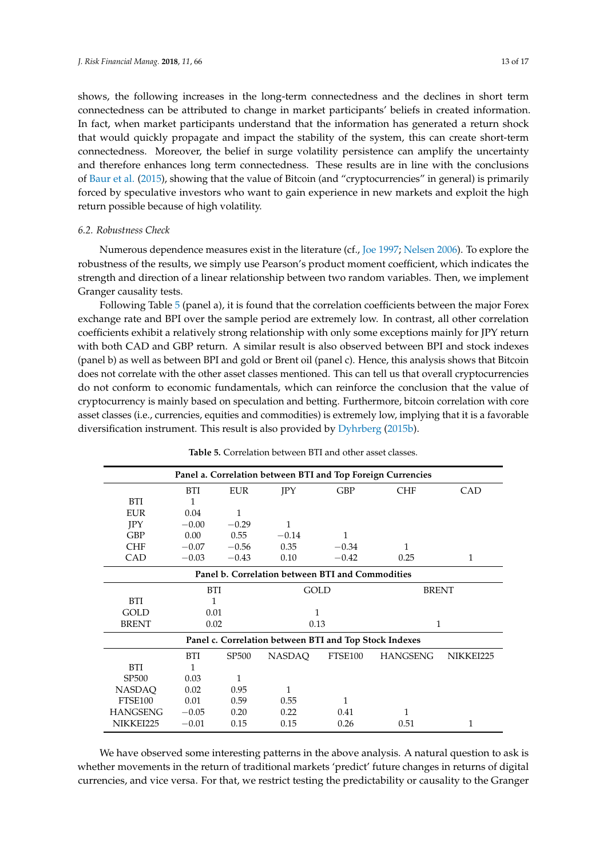shows, the following increases in the long-term connectedness and the declines in short term connectedness can be attributed to change in market participants' beliefs in created information. In fact, when market participants understand that the information has generated a return shock that would quickly propagate and impact the stability of the system, this can create short-term connectedness. Moreover, the belief in surge volatility persistence can amplify the uncertainty and therefore enhances long term connectedness. These results are in line with the conclusions of [Baur et al.](#page-14-8) [\(2015\)](#page-14-8), showing that the value of Bitcoin (and "cryptocurrencies" in general) is primarily forced by speculative investors who want to gain experience in new markets and exploit the high return possible because of high volatility.

# *6.2. Robustness Check*

Numerous dependence measures exist in the literature (cf., [Joe](#page-15-23) [1997;](#page-15-23) [Nelsen](#page-16-10) [2006\)](#page-16-10). To explore the robustness of the results, we simply use Pearson's product moment coefficient, which indicates the strength and direction of a linear relationship between two random variables. Then, we implement Granger causality tests.

Following Table [5](#page-12-0) (panel a), it is found that the correlation coefficients between the major Forex exchange rate and BPI over the sample period are extremely low. In contrast, all other correlation coefficients exhibit a relatively strong relationship with only some exceptions mainly for JPY return with both CAD and GBP return. A similar result is also observed between BPI and stock indexes (panel b) as well as between BPI and gold or Brent oil (panel c). Hence, this analysis shows that Bitcoin does not correlate with the other asset classes mentioned. This can tell us that overall cryptocurrencies do not conform to economic fundamentals, which can reinforce the conclusion that the value of cryptocurrency is mainly based on speculation and betting. Furthermore, bitcoin correlation with core asset classes (i.e., currencies, equities and commodities) is extremely low, implying that it is a favorable diversification instrument. This result is also provided by [Dyhrberg](#page-15-14) [\(2015b\)](#page-15-14).

<span id="page-12-0"></span>

| Panel a. Correlation between BTI and Top Foreign Currencies |              |              |               |         |                 |           |  |  |
|-------------------------------------------------------------|--------------|--------------|---------------|---------|-----------------|-----------|--|--|
|                                                             | <b>BTI</b>   | <b>EUR</b>   | JPY           | GBP     | <b>CHF</b>      | CAD       |  |  |
| <b>BTI</b>                                                  | 1            |              |               |         |                 |           |  |  |
| <b>EUR</b>                                                  | 0.04         | 1            |               |         |                 |           |  |  |
| JPY                                                         | $-0.00$      | $-0.29$      | $\mathbf{1}$  |         |                 |           |  |  |
| <b>GBP</b>                                                  | 0.00         | 0.55         | $-0.14$       | 1       |                 |           |  |  |
| <b>CHF</b>                                                  | $-0.07$      | $-0.56$      | 0.35          | $-0.34$ | 1               |           |  |  |
| CAD                                                         | $-0.03$      | $-0.43$      | 0.10          | $-0.42$ | 0.25            | 1         |  |  |
| Panel b. Correlation between BTI and Commodities            |              |              |               |         |                 |           |  |  |
|                                                             | <b>BTI</b>   |              | <b>GOLD</b>   |         | <b>BRENT</b>    |           |  |  |
| <b>BTI</b>                                                  | 1            |              |               |         |                 |           |  |  |
| <b>GOLD</b>                                                 | 0.01         |              | 1             |         |                 |           |  |  |
| <b>BRENT</b>                                                | 0.02         |              | 0.13          |         | 1               |           |  |  |
| Panel c. Correlation between BTI and Top Stock Indexes      |              |              |               |         |                 |           |  |  |
|                                                             | <b>BTI</b>   | <b>SP500</b> | <b>NASDAO</b> | FTSE100 | <b>HANGSENG</b> | NIKKEI225 |  |  |
| <b>BTI</b>                                                  | $\mathbf{1}$ |              |               |         |                 |           |  |  |
| <b>SP500</b>                                                | 0.03         | 1            |               |         |                 |           |  |  |
| <b>NASDAO</b>                                               | 0.02         | 0.95         | 1             |         |                 |           |  |  |
| <b>FTSE100</b>                                              | 0.01         | 0.59         | 0.55          | 1       |                 |           |  |  |
| <b>HANGSENG</b>                                             | $-0.05$      | 0.20         | 0.22          | 0.41    | 1               |           |  |  |
| NIKKEI225                                                   | $-0.01$      | 0.15         | 0.15          | 0.26    | 0.51            | 1         |  |  |

**Table 5.** Correlation between BTI and other asset classes.

We have observed some interesting patterns in the above analysis. A natural question to ask is whether movements in the return of traditional markets 'predict' future changes in returns of digital currencies, and vice versa. For that, we restrict testing the predictability or causality to the Granger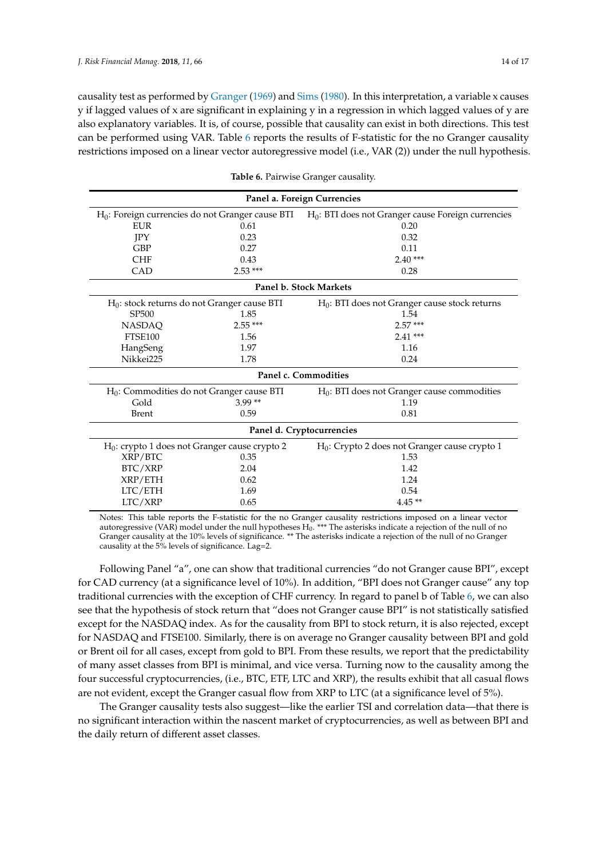causality test as performed by [Granger](#page-15-24) [\(1969\)](#page-15-24) and [Sims](#page-16-11) [\(1980\)](#page-16-11). In this interpretation, a variable x causes y if lagged values of x are significant in explaining y in a regression in which lagged values of y are also explanatory variables. It is, of course, possible that causality can exist in both directions. This test can be performed using VAR. Table [6](#page-13-0) reports the results of F-statistic for the no Granger causality restrictions imposed on a linear vector autoregressive model (i.e., VAR (2)) under the null hypothesis.

<span id="page-13-0"></span>

| Panel a. Foreign Currencies |                                                         |                                                       |  |  |  |  |  |
|-----------------------------|---------------------------------------------------------|-------------------------------------------------------|--|--|--|--|--|
|                             | $H_0$ : Foreign currencies do not Granger cause BTI     | $H_0$ : BTI does not Granger cause Foreign currencies |  |  |  |  |  |
| <b>EUR</b>                  | 0.61                                                    | 0.20                                                  |  |  |  |  |  |
| <b>IPY</b>                  | 0.23                                                    | 0.32                                                  |  |  |  |  |  |
| <b>GBP</b>                  | 0.27                                                    | 0.11                                                  |  |  |  |  |  |
| <b>CHF</b>                  | 0.43                                                    | $2.40***$                                             |  |  |  |  |  |
| CAD                         | $2.53***$                                               | 0.28                                                  |  |  |  |  |  |
|                             |                                                         | <b>Panel b. Stock Markets</b>                         |  |  |  |  |  |
|                             | H <sub>0</sub> : stock returns do not Granger cause BTI | $H_0$ : BTI does not Granger cause stock returns      |  |  |  |  |  |
| <b>SP500</b>                | 1.85                                                    | 1.54                                                  |  |  |  |  |  |
| <b>NASDAO</b>               | $2.55***$                                               | $2.57***$                                             |  |  |  |  |  |
| <b>FTSE100</b>              | 1.56                                                    | $2.41***$                                             |  |  |  |  |  |
| HangSeng                    | 1.97                                                    | 1.16                                                  |  |  |  |  |  |
| Nikkei225                   | 1.78                                                    | 0.24                                                  |  |  |  |  |  |
| Panel c. Commodities        |                                                         |                                                       |  |  |  |  |  |
|                             | $H_0$ : Commodities do not Granger cause BTI            | $H_0$ : BTI does not Granger cause commodities        |  |  |  |  |  |
| Gold                        | $3.99**$                                                | 1.19                                                  |  |  |  |  |  |
| <b>Brent</b>                | 0.59                                                    | 0.81                                                  |  |  |  |  |  |
| Panel d. Cryptocurrencies   |                                                         |                                                       |  |  |  |  |  |
|                             | $H_0$ : crypto 1 does not Granger cause crypto 2        | $H_0$ : Crypto 2 does not Granger cause crypto 1      |  |  |  |  |  |
| XRP/BTC                     | 0.35                                                    | 1.53                                                  |  |  |  |  |  |
| BTC/XRP                     | 2.04                                                    | 1.42                                                  |  |  |  |  |  |
| XRP/ETH                     | 0.62                                                    | 1.24                                                  |  |  |  |  |  |
| LTC/ETH                     | 1.69                                                    | 0.54                                                  |  |  |  |  |  |
| LTC/XRP                     | 0.65                                                    | $4.45**$                                              |  |  |  |  |  |

**Table 6.** Pairwise Granger causality.

Notes: This table reports the F-statistic for the no Granger causality restrictions imposed on a linear vector autoregressive (VAR) model under the null hypotheses H<sub>0</sub>. \*\*\* The asterisks indicate a rejection of the null of no Granger causality at the 10% levels of significance. \*\* The asterisks indicate a rejection of the null of no Granger causality at the 5% levels of significance. Lag=2.

Following Panel "a", one can show that traditional currencies "do not Granger cause BPI", except for CAD currency (at a significance level of 10%). In addition, "BPI does not Granger cause" any top traditional currencies with the exception of CHF currency. In regard to panel b of Table [6,](#page-13-0) we can also see that the hypothesis of stock return that "does not Granger cause BPI" is not statistically satisfied except for the NASDAQ index. As for the causality from BPI to stock return, it is also rejected, except for NASDAQ and FTSE100. Similarly, there is on average no Granger causality between BPI and gold or Brent oil for all cases, except from gold to BPI. From these results, we report that the predictability of many asset classes from BPI is minimal, and vice versa. Turning now to the causality among the four successful cryptocurrencies, (i.e., BTC, ETF, LTC and XRP), the results exhibit that all casual flows are not evident, except the Granger casual flow from XRP to LTC (at a significance level of 5%).

The Granger causality tests also suggest—like the earlier TSI and correlation data—that there is no significant interaction within the nascent market of cryptocurrencies, as well as between BPI and the daily return of different asset classes.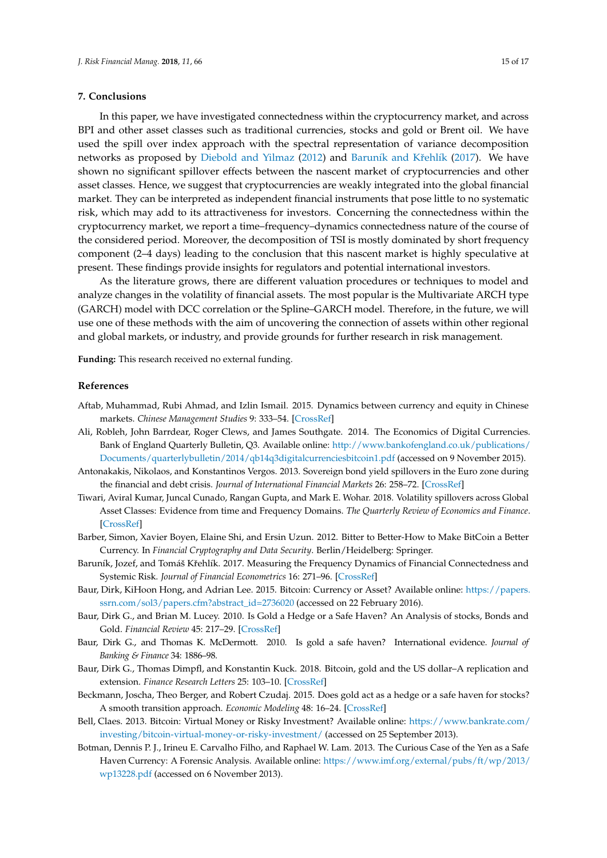#### <span id="page-14-5"></span>**7. Conclusions**

In this paper, we have investigated connectedness within the cryptocurrency market, and across BPI and other asset classes such as traditional currencies, stocks and gold or Brent oil. We have used the spill over index approach with the spectral representation of variance decomposition networks as proposed by [Diebold and Yilmaz](#page-15-10) [\(2012\)](#page-15-10) and Baruník and Křehlík [\(2017\)](#page-14-4). We have shown no significant spillover effects between the nascent market of cryptocurrencies and other asset classes. Hence, we suggest that cryptocurrencies are weakly integrated into the global financial market. They can be interpreted as independent financial instruments that pose little to no systematic risk, which may add to its attractiveness for investors. Concerning the connectedness within the cryptocurrency market, we report a time–frequency–dynamics connectedness nature of the course of the considered period. Moreover, the decomposition of TSI is mostly dominated by short frequency component (2–4 days) leading to the conclusion that this nascent market is highly speculative at present. These findings provide insights for regulators and potential international investors.

As the literature grows, there are different valuation procedures or techniques to model and analyze changes in the volatility of financial assets. The most popular is the Multivariate ARCH type (GARCH) model with DCC correlation or the Spline–GARCH model. Therefore, in the future, we will use one of these methods with the aim of uncovering the connection of assets within other regional and global markets, or industry, and provide grounds for further research in risk management.

**Funding:** This research received no external funding.

## **References**

- <span id="page-14-2"></span>Aftab, Muhammad, Rubi Ahmad, and Izlin Ismail. 2015. Dynamics between currency and equity in Chinese markets. *Chinese Management Studies* 9: 333–54. [\[CrossRef\]](http://dx.doi.org/10.1108/CMS-07-2014-0120)
- <span id="page-14-6"></span>Ali, Robleh, John Barrdear, Roger Clews, and James Southgate. 2014. The Economics of Digital Currencies. Bank of England Quarterly Bulletin, Q3. Available online: [http://www.bankofengland.co.uk/publications/](http://www.bankofengland.co.uk/publications/Documents/quarterlybulletin/2014/qb14q3digitalcurrenciesbitcoin1.pdf) [Documents/quarterlybulletin/2014/qb14q3digitalcurrenciesbitcoin1.pdf](http://www.bankofengland.co.uk/publications/Documents/quarterlybulletin/2014/qb14q3digitalcurrenciesbitcoin1.pdf) (accessed on 9 November 2015).
- <span id="page-14-13"></span>Antonakakis, Nikolaos, and Konstantinos Vergos. 2013. Sovereign bond yield spillovers in the Euro zone during the financial and debt crisis. *Journal of International Financial Markets* 26: 258–72. [\[CrossRef\]](http://dx.doi.org/10.1016/j.intfin.2013.06.004)
- <span id="page-14-3"></span>Tiwari, Aviral Kumar, Juncal Cunado, Rangan Gupta, and Mark E. Wohar. 2018. Volatility spillovers across Global Asset Classes: Evidence from time and Frequency Domains. *The Quarterly Review of Economics and Finance*. [\[CrossRef\]](http://dx.doi.org/10.1016/j.qref.2018.05.001)
- <span id="page-14-0"></span>Barber, Simon, Xavier Boyen, Elaine Shi, and Ersin Uzun. 2012. Bitter to Better-How to Make BitCoin a Better Currency. In *Financial Cryptography and Data Security*. Berlin/Heidelberg: Springer.
- <span id="page-14-4"></span>Baruník, Jozef, and Tomáš Křehlík. 2017. Measuring the Frequency Dynamics of Financial Connectedness and Systemic Risk. *Journal of Financial Econometrics* 16: 271–96. [\[CrossRef\]](http://dx.doi.org/10.1093/jjfinec/nby001)
- <span id="page-14-8"></span>Baur, Dirk, KiHoon Hong, and Adrian Lee. 2015. Bitcoin: Currency or Asset? Available online: [https://papers.](https://papers.ssrn.com/sol3/papers.cfm?abstract_id=2736020) [ssrn.com/sol3/papers.cfm?abstract\\_id=2736020](https://papers.ssrn.com/sol3/papers.cfm?abstract_id=2736020) (accessed on 22 February 2016).
- <span id="page-14-10"></span>Baur, Dirk G., and Brian M. Lucey. 2010. Is Gold a Hedge or a Safe Haven? An Analysis of stocks, Bonds and Gold. *Financial Review* 45: 217–29. [\[CrossRef\]](http://dx.doi.org/10.1111/j.1540-6288.2010.00244.x)
- <span id="page-14-9"></span>Baur, Dirk G., and Thomas K. McDermott. 2010. Is gold a safe haven? International evidence. *Journal of Banking & Finance* 34: 1886–98.
- <span id="page-14-7"></span>Baur, Dirk G., Thomas Dimpfl, and Konstantin Kuck. 2018. Bitcoin, gold and the US dollar–A replication and extension. *Finance Research Letters* 25: 103–10. [\[CrossRef\]](http://dx.doi.org/10.1016/j.frl.2017.10.012)
- <span id="page-14-11"></span>Beckmann, Joscha, Theo Berger, and Robert Czudaj. 2015. Does gold act as a hedge or a safe haven for stocks? A smooth transition approach. *Economic Modeling* 48: 16–24. [\[CrossRef\]](http://dx.doi.org/10.1016/j.econmod.2014.10.044)
- <span id="page-14-1"></span>Bell, Claes. 2013. Bitcoin: Virtual Money or Risky Investment? Available online: [https://www.bankrate.com/](https://www.bankrate.com/investing/bitcoin-virtual-money-or-risky-investment/) [investing/bitcoin-virtual-money-or-risky-investment/](https://www.bankrate.com/investing/bitcoin-virtual-money-or-risky-investment/) (accessed on 25 September 2013).
- <span id="page-14-12"></span>Botman, Dennis P. J., Irineu E. Carvalho Filho, and Raphael W. Lam. 2013. The Curious Case of the Yen as a Safe Haven Currency: A Forensic Analysis. Available online: [https://www.imf.org/external/pubs/ft/wp/2013/](https://www.imf.org/external/pubs/ft/wp/2013/wp13228.pdf) [wp13228.pdf](https://www.imf.org/external/pubs/ft/wp/2013/wp13228.pdf) (accessed on 6 November 2013).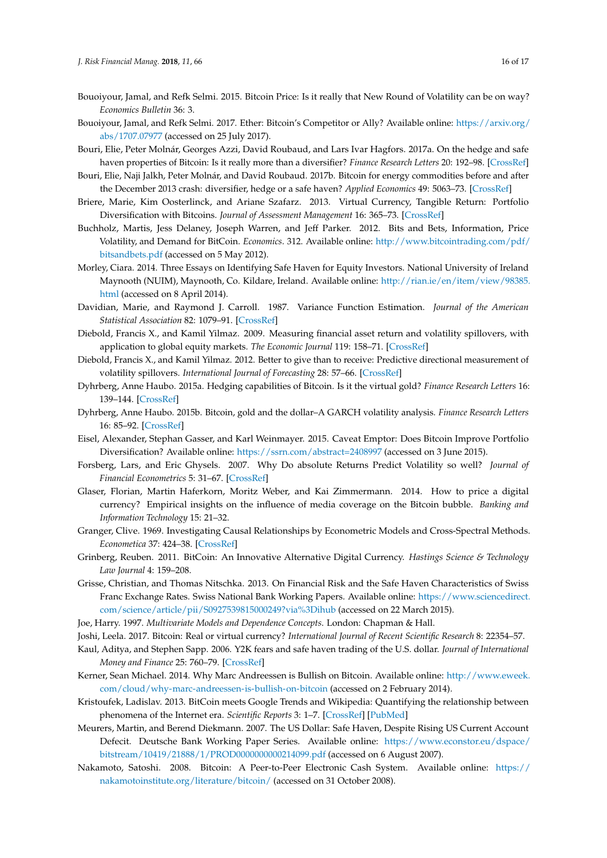- <span id="page-15-16"></span>Bouoiyour, Jamal, and Refk Selmi. 2015. Bitcoin Price: Is it really that New Round of Volatility can be on way? *Economics Bulletin* 36: 3.
- <span id="page-15-19"></span>Bouoiyour, Jamal, and Refk Selmi. 2017. Ether: Bitcoin's Competitor or Ally? Available online: [https://arxiv.org/](https://arxiv.org/abs/1707.07977) [abs/1707.07977](https://arxiv.org/abs/1707.07977) (accessed on 25 July 2017).
- <span id="page-15-8"></span>Bouri, Elie, Peter Molnár, Georges Azzi, David Roubaud, and Lars Ivar Hagfors. 2017a. On the hedge and safe haven properties of Bitcoin: Is it really more than a diversifier? *Finance Research Letters* 20: 192–98. [\[CrossRef\]](http://dx.doi.org/10.1016/j.frl.2016.09.025)
- <span id="page-15-15"></span>Bouri, Elie, Naji Jalkh, Peter Molnár, and David Roubaud. 2017b. Bitcoin for energy commodities before and after the December 2013 crash: diversifier, hedge or a safe haven? *Applied Economics* 49: 5063–73. [\[CrossRef\]](http://dx.doi.org/10.1080/00036846.2017.1299102)
- <span id="page-15-6"></span>Briere, Marie, Kim Oosterlinck, and Ariane Szafarz. 2013. Virtual Currency, Tangible Return: Portfolio Diversification with Bitcoins. *Journal of Assessment Management* 16: 365–73. [\[CrossRef\]](http://dx.doi.org/10.2139/ssrn.2324780)
- <span id="page-15-3"></span>Buchholz, Martis, Jess Delaney, Joseph Warren, and Jeff Parker. 2012. Bits and Bets, Information, Price Volatility, and Demand for BitCoin. *Economics*. 312. Available online: [http://www.bitcointrading.com/pdf/](http://www.bitcointrading.com/ pdf/bitsandbets.pdf) [bitsandbets.pdf](http://www.bitcointrading.com/ pdf/bitsandbets.pdf) (accessed on 5 May 2012).
- <span id="page-15-21"></span>Morley, Ciara. 2014. Three Essays on Identifying Safe Haven for Equity Investors. National University of Ireland Maynooth (NUIM), Maynooth, Co. Kildare, Ireland. Available online: [http://rian.ie/en/item/view/98385.](http://rian.ie/en/item/view/98385.html) [html](http://rian.ie/en/item/view/98385.html) (accessed on 8 April 2014).
- <span id="page-15-11"></span>Davidian, Marie, and Raymond J. Carroll. 1987. Variance Function Estimation. *Journal of the American Statistical Association* 82: 1079–91. [\[CrossRef\]](http://dx.doi.org/10.1080/01621459.1987.10478543)
- <span id="page-15-9"></span>Diebold, Francis X., and Kamil Yilmaz. 2009. Measuring financial asset return and volatility spillovers, with application to global equity markets. *The Economic Journal* 119: 158–71. [\[CrossRef\]](http://dx.doi.org/10.1111/j.1468-0297.2008.02208.x)
- <span id="page-15-10"></span>Diebold, Francis X., and Kamil Yilmaz. 2012. Better to give than to receive: Predictive directional measurement of volatility spillovers. *International Journal of Forecasting* 28: 57–66. [\[CrossRef\]](http://dx.doi.org/10.1016/j.ijforecast.2011.02.006)
- <span id="page-15-5"></span>Dyhrberg, Anne Haubo. 2015a. Hedging capabilities of Bitcoin. Is it the virtual gold? *Finance Research Letters* 16: 139–144. [\[CrossRef\]](http://dx.doi.org/10.1016/j.frl.2015.10.025)
- <span id="page-15-14"></span>Dyhrberg, Anne Haubo. 2015b. Bitcoin, gold and the dollar–A GARCH volatility analysis. *Finance Research Letters* 16: 85–92. [\[CrossRef\]](http://dx.doi.org/10.1016/j.frl.2015.10.008)
- <span id="page-15-7"></span>Eisel, Alexander, Stephan Gasser, and Karl Weinmayer. 2015. Caveat Emptor: Does Bitcoin Improve Portfolio Diversification? Available online: <https://ssrn.com/abstract=2408997> (accessed on 3 June 2015).
- <span id="page-15-22"></span>Forsberg, Lars, and Eric Ghysels. 2007. Why Do absolute Returns Predict Volatility so well? *Journal of Financial Econometrics* 5: 31–67. [\[CrossRef\]](http://dx.doi.org/10.1093/jjfinec/nbl010)
- <span id="page-15-2"></span>Glaser, Florian, Martin Haferkorn, Moritz Weber, and Kai Zimmermann. 2014. How to price a digital currency? Empirical insights on the influence of media coverage on the Bitcoin bubble. *Banking and Information Technology* 15: 21–32.
- <span id="page-15-24"></span>Granger, Clive. 1969. Investigating Causal Relationships by Econometric Models and Cross-Spectral Methods. *Econometica* 37: 424–38. [\[CrossRef\]](http://dx.doi.org/10.2307/1912791)
- <span id="page-15-13"></span>Grinberg, Reuben. 2011. BitCoin: An Innovative Alternative Digital Currency. *Hastings Science & Technology Law Journal* 4: 159–208.
- <span id="page-15-20"></span>Grisse, Christian, and Thomas Nitschka. 2013. On Financial Risk and the Safe Haven Characteristics of Swiss Franc Exchange Rates. Swiss National Bank Working Papers. Available online: [https://www.sciencedirect.](https://www.sciencedirect.com/science/article/pii/S0927539815000249?via%3Dihub) [com/science/article/pii/S0927539815000249?via%3Dihub](https://www.sciencedirect.com/science/article/pii/S0927539815000249?via%3Dihub) (accessed on 22 March 2015).
- <span id="page-15-23"></span><span id="page-15-0"></span>Joe, Harry. 1997. *Multivariate Models and Dependence Concepts*. London: Chapman & Hall.
- <span id="page-15-17"></span>Joshi, Leela. 2017. Bitcoin: Real or virtual currency? *International Journal of Recent Scientific Research* 8: 22354–57.
- Kaul, Aditya, and Stephen Sapp. 2006. Y2K fears and safe haven trading of the U.S. dollar. *Journal of International Money and Finance* 25: 760–79. [\[CrossRef\]](http://dx.doi.org/10.1016/j.jimonfin.2006.04.003)
- <span id="page-15-1"></span>Kerner, Sean Michael. 2014. Why Marc Andreessen is Bullish on Bitcoin. Available online: [http://www.eweek.](http://www.eweek.com/cloud/why-marc-andreessen-is-bullish-on-bitcoin) [com/cloud/why-marc-andreessen-is-bullish-on-bitcoin](http://www.eweek.com/cloud/why-marc-andreessen-is-bullish-on-bitcoin) (accessed on 2 February 2014).
- <span id="page-15-4"></span>Kristoufek, Ladislav. 2013. BitCoin meets Google Trends and Wikipedia: Quantifying the relationship between phenomena of the Internet era. *Scientific Reports* 3: 1–7. [\[CrossRef\]](http://dx.doi.org/10.1038/srep03415) [\[PubMed\]](http://www.ncbi.nlm.nih.gov/pubmed/24301322)
- <span id="page-15-18"></span>Meurers, Martin, and Berend Diekmann. 2007. The US Dollar: Safe Haven, Despite Rising US Current Account Defecit. Deutsche Bank Working Paper Series. Available online: [https://www.econstor.eu/dspace/](https://www.econstor.eu/dspace/bitstream/10419/21888/1/PROD0000000000214099.pdf) [bitstream/10419/21888/1/PROD0000000000214099.pdf](https://www.econstor.eu/dspace/bitstream/10419/21888/1/PROD0000000000214099.pdf) (accessed on 6 August 2007).
- <span id="page-15-12"></span>Nakamoto, Satoshi. 2008. Bitcoin: A Peer-to-Peer Electronic Cash System. Available online: [https://](https://nakamotoinstitute.org/literature/bitcoin/) [nakamotoinstitute.org/literature/bitcoin/](https://nakamotoinstitute.org/literature/bitcoin/) (accessed on 31 October 2008).